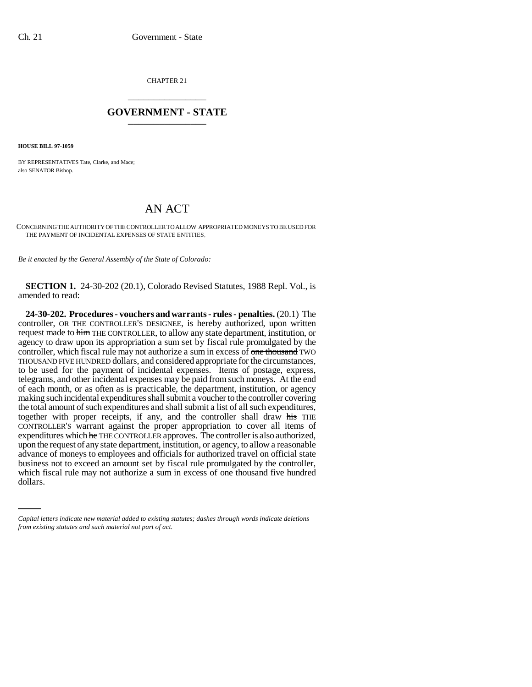CHAPTER 21 \_\_\_\_\_\_\_\_\_\_\_\_\_\_\_

## **GOVERNMENT - STATE** \_\_\_\_\_\_\_\_\_\_\_\_\_\_\_

**HOUSE BILL 97-1059**

BY REPRESENTATIVES Tate, Clarke, and Mace; also SENATOR Bishop.

## AN ACT

CONCERNING THE AUTHORITY OF THE CONTROLLER TO ALLOW APPROPRIATED MONEYS TO BE USED FOR THE PAYMENT OF INCIDENTAL EXPENSES OF STATE ENTITIES.

*Be it enacted by the General Assembly of the State of Colorado:*

**SECTION 1.** 24-30-202 (20.1), Colorado Revised Statutes, 1988 Repl. Vol., is amended to read:

business not to exceed an amount set by fiscal rule promulgated by the controller, **24-30-202. Procedures - vouchers and warrants - rules - penalties.** (20.1) The controller, OR THE CONTROLLER'S DESIGNEE, is hereby authorized, upon written request made to him THE CONTROLLER, to allow any state department, institution, or agency to draw upon its appropriation a sum set by fiscal rule promulgated by the controller, which fiscal rule may not authorize a sum in excess of one thousand TWO THOUSAND FIVE HUNDRED dollars, and considered appropriate for the circumstances, to be used for the payment of incidental expenses. Items of postage, express, telegrams, and other incidental expenses may be paid from such moneys. At the end of each month, or as often as is practicable, the department, institution, or agency making such incidental expenditures shall submit a voucher to the controller covering the total amount of such expenditures and shall submit a list of all such expenditures, together with proper receipts, if any, and the controller shall draw his THE CONTROLLER'S warrant against the proper appropriation to cover all items of expenditures which he THE CONTROLLER approves. The controller is also authorized, upon the request of any state department, institution, or agency, to allow a reasonable advance of moneys to employees and officials for authorized travel on official state which fiscal rule may not authorize a sum in excess of one thousand five hundred dollars.

*Capital letters indicate new material added to existing statutes; dashes through words indicate deletions from existing statutes and such material not part of act.*